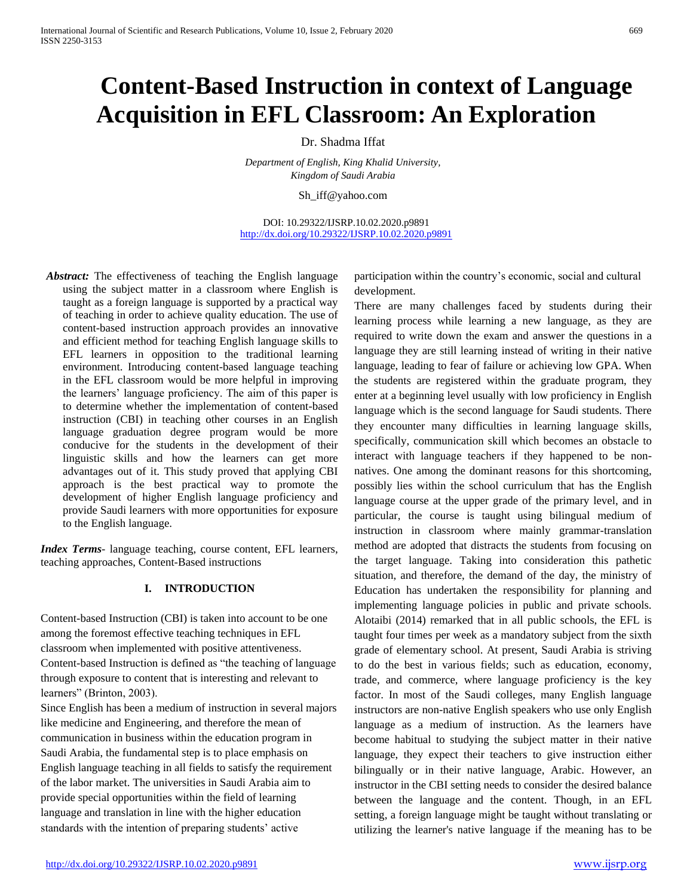# **Content-Based Instruction in context of Language Acquisition in EFL Classroom: An Exploration**

# Dr. Shadma Iffat

*Department of English, King Khalid University, Kingdom of Saudi Arabia*

Sh\_iff@yahoo.com

DOI: 10.29322/IJSRP.10.02.2020.p9891 <http://dx.doi.org/10.29322/IJSRP.10.02.2020.p9891>

Abstract: The effectiveness of teaching the English language using the subject matter in a classroom where English is taught as a foreign language is supported by a practical way of teaching in order to achieve quality education. The use of content-based instruction approach provides an innovative and efficient method for teaching English language skills to EFL learners in opposition to the traditional learning environment. Introducing content-based language teaching in the EFL classroom would be more helpful in improving the learners' language proficiency. The aim of this paper is to determine whether the implementation of content-based instruction (CBI) in teaching other courses in an English language graduation degree program would be more conducive for the students in the development of their linguistic skills and how the learners can get more advantages out of it. This study proved that applying CBI approach is the best practical way to promote the development of higher English language proficiency and provide Saudi learners with more opportunities for exposure to the English language.

*Index Terms*- language teaching, course content, EFL learners, teaching approaches, Content-Based instructions

## **I. INTRODUCTION**

Content-based Instruction (CBI) is taken into account to be one among the foremost effective teaching techniques in EFL classroom when implemented with positive attentiveness. Content-based Instruction is defined as "the teaching of language through exposure to content that is interesting and relevant to learners" (Brinton, 2003).

Since English has been a medium of instruction in several majors like medicine and Engineering, and therefore the mean of communication in business within the education program in Saudi Arabia, the fundamental step is to place emphasis on English language teaching in all fields to satisfy the requirement of the labor market. The universities in Saudi Arabia aim to provide special opportunities within the field of learning language and translation in line with the higher education standards with the intention of preparing students' active

participation within the country's economic, social and cultural development.

There are many challenges faced by students during their learning process while learning a new language, as they are required to write down the exam and answer the questions in a language they are still learning instead of writing in their native language, leading to fear of failure or achieving low GPA. When the students are registered within the graduate program, they enter at a beginning level usually with low proficiency in English language which is the second language for Saudi students. There they encounter many difficulties in learning language skills, specifically, communication skill which becomes an obstacle to interact with language teachers if they happened to be nonnatives. One among the dominant reasons for this shortcoming, possibly lies within the school curriculum that has the English language course at the upper grade of the primary level, and in particular, the course is taught using bilingual medium of instruction in classroom where mainly grammar-translation method are adopted that distracts the students from focusing on the target language. Taking into consideration this pathetic situation, and therefore, the demand of the day, the ministry of Education has undertaken the responsibility for planning and implementing language policies in public and private schools. Alotaibi (2014) remarked that in all public schools, the EFL is taught four times per week as a mandatory subject from the sixth grade of elementary school. At present, Saudi Arabia is striving to do the best in various fields; such as education, economy, trade, and commerce, where language proficiency is the key factor. In most of the Saudi colleges, many English language instructors are non-native English speakers who use only English language as a medium of instruction. As the learners have become habitual to studying the subject matter in their native language, they expect their teachers to give instruction either bilingually or in their native language, Arabic. However, an instructor in the CBI setting needs to consider the desired balance between the language and the content. Though, in an EFL setting, a foreign language might be taught without translating or utilizing the learner's native language if the meaning has to be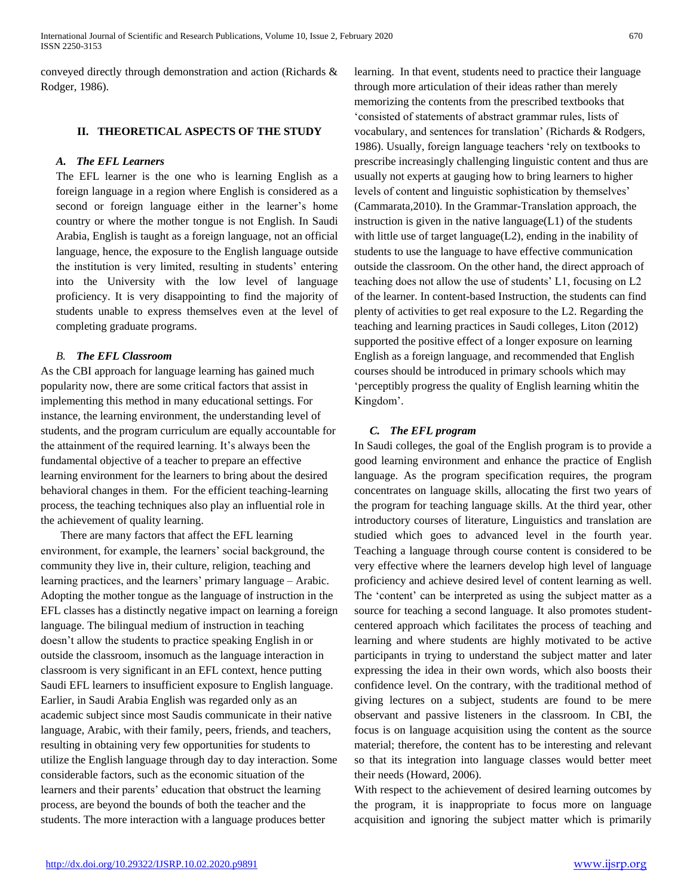conveyed directly through demonstration and action (Richards & Rodger, 1986).

## **II. THEORETICAL ASPECTS OF THE STUDY**

# *A. The EFL Learners*

The EFL learner is the one who is learning English as a foreign language in a region where English is considered as a second or foreign language either in the learner's home country or where the mother tongue is not English. In Saudi Arabia, English is taught as a foreign language, not an official language, hence, the exposure to the English language outside the institution is very limited, resulting in students' entering into the University with the low level of language proficiency. It is very disappointing to find the majority of students unable to express themselves even at the level of completing graduate programs.

## *B. The EFL Classroom*

As the CBI approach for language learning has gained much popularity now, there are some critical factors that assist in implementing this method in many educational settings. For instance, the learning environment, the understanding level of students, and the program curriculum are equally accountable for the attainment of the required learning. It's always been the fundamental objective of a teacher to prepare an effective learning environment for the learners to bring about the desired behavioral changes in them. For the efficient teaching-learning process, the teaching techniques also play an influential role in the achievement of quality learning.

 There are many factors that affect the EFL learning environment, for example, the learners' social background, the community they live in, their culture, religion, teaching and learning practices, and the learners' primary language – Arabic. Adopting the mother tongue as the language of instruction in the EFL classes has a distinctly negative impact on learning a foreign language. The bilingual medium of instruction in teaching doesn't allow the students to practice speaking English in or outside the classroom, insomuch as the language interaction in classroom is very significant in an EFL context, hence putting Saudi EFL learners to insufficient exposure to English language. Earlier, in Saudi Arabia English was regarded only as an academic subject since most Saudis communicate in their native language, Arabic, with their family, peers, friends, and teachers, resulting in obtaining very few opportunities for students to utilize the English language through day to day interaction. Some considerable factors, such as the economic situation of the learners and their parents' education that obstruct the learning process, are beyond the bounds of both the teacher and the students. The more interaction with a language produces better

learning. In that event, students need to practice their language through more articulation of their ideas rather than merely memorizing the contents from the prescribed textbooks that 'consisted of statements of abstract grammar rules, lists of vocabulary, and sentences for translation' (Richards & Rodgers, 1986). Usually, foreign language teachers 'rely on textbooks to prescribe increasingly challenging linguistic content and thus are usually not experts at gauging how to bring learners to higher levels of content and linguistic sophistication by themselves' (Cammarata,2010). In the Grammar-Translation approach, the instruction is given in the native language $(L1)$  of the students with little use of target language(L2), ending in the inability of students to use the language to have effective communication outside the classroom. On the other hand, the direct approach of teaching does not allow the use of students' L1, focusing on L2 of the learner. In content-based Instruction, the students can find plenty of activities to get real exposure to the L2. Regarding the teaching and learning practices in Saudi colleges, Liton (2012) supported the positive effect of a longer exposure on learning English as a foreign language, and recommended that English courses should be introduced in primary schools which may 'perceptibly progress the quality of English learning whitin the Kingdom'.

## *C. The EFL program*

In Saudi colleges, the goal of the English program is to provide a good learning environment and enhance the practice of English language. As the program specification requires, the program concentrates on language skills, allocating the first two years of the program for teaching language skills. At the third year, other introductory courses of literature, Linguistics and translation are studied which goes to advanced level in the fourth year. Teaching a language through course content is considered to be very effective where the learners develop high level of language proficiency and achieve desired level of content learning as well. The 'content' can be interpreted as using the subject matter as a source for teaching a second language. It also promotes studentcentered approach which facilitates the process of teaching and learning and where students are highly motivated to be active participants in trying to understand the subject matter and later expressing the idea in their own words, which also boosts their confidence level. On the contrary, with the traditional method of giving lectures on a subject, students are found to be mere observant and passive listeners in the classroom. In CBI, the focus is on language acquisition using the content as the source material; therefore, the content has to be interesting and relevant so that its integration into language classes would better meet their needs (Howard, 2006).

With respect to the achievement of desired learning outcomes by the program, it is inappropriate to focus more on language acquisition and ignoring the subject matter which is primarily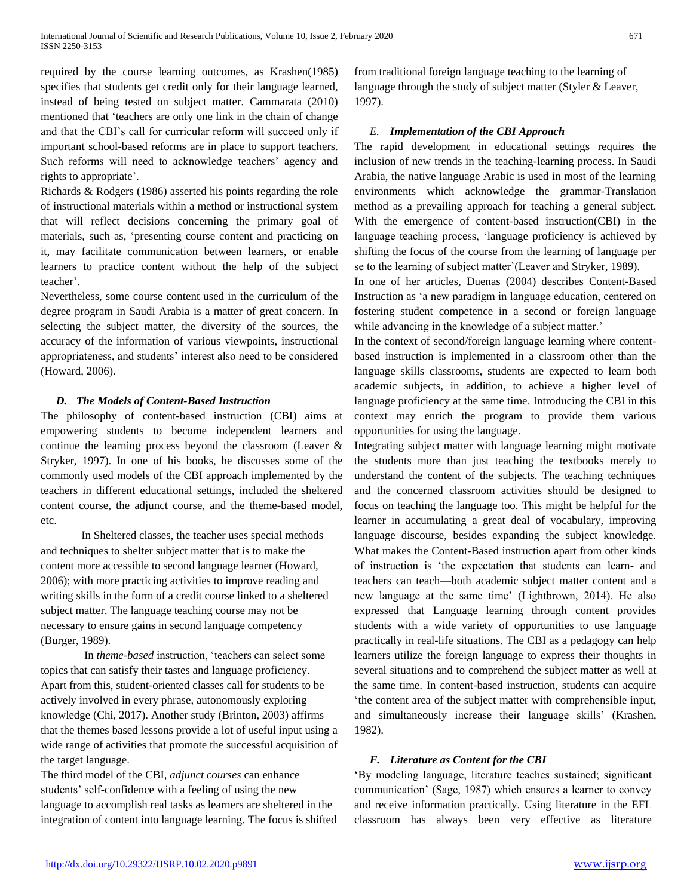required by the course learning outcomes, as Krashen(1985) specifies that students get credit only for their language learned, instead of being tested on subject matter. Cammarata (2010) mentioned that 'teachers are only one link in the chain of change and that the CBI's call for curricular reform will succeed only if important school-based reforms are in place to support teachers. Such reforms will need to acknowledge teachers' agency and rights to appropriate'.

Richards & Rodgers (1986) asserted his points regarding the role of instructional materials within a method or instructional system that will reflect decisions concerning the primary goal of materials, such as, 'presenting course content and practicing on it, may facilitate communication between learners, or enable learners to practice content without the help of the subject teacher'.

Nevertheless, some course content used in the curriculum of the degree program in Saudi Arabia is a matter of great concern. In selecting the subject matter, the diversity of the sources, the accuracy of the information of various viewpoints, instructional appropriateness, and students' interest also need to be considered (Howard, 2006).

# *D. The Models of Content-Based Instruction*

The philosophy of content-based instruction (CBI) aims at empowering students to become independent learners and continue the learning process beyond the classroom (Leaver & Stryker, 1997). In one of his books, he discusses some of the commonly used models of the CBI approach implemented by the teachers in different educational settings, included the sheltered content course, the adjunct course, and the theme-based model, etc.

In Sheltered classes, the teacher uses special methods and techniques to shelter subject matter that is to make the content more accessible to second language learner (Howard, 2006); with more practicing activities to improve reading and writing skills in the form of a credit course linked to a sheltered subject matter. The language teaching course may not be necessary to ensure gains in second language competency (Burger, 1989).

In *theme-based* instruction, 'teachers can select some topics that can satisfy their tastes and language proficiency. Apart from this, student-oriented classes call for students to be actively involved in every phrase, autonomously exploring knowledge (Chi, 2017). Another study (Brinton, 2003) affirms that the themes based lessons provide a lot of useful input using a wide range of activities that promote the successful acquisition of the target language.

The third model of the CBI, *adjunct courses* can enhance students' self-confidence with a feeling of using the new language to accomplish real tasks as learners are sheltered in the integration of content into language learning. The focus is shifted from traditional foreign language teaching to the learning of language through the study of subject matter (Styler & Leaver, 1997).

# *E. Implementation of the CBI Approach*

The rapid development in educational settings requires the inclusion of new trends in the teaching-learning process. In Saudi Arabia, the native language Arabic is used in most of the learning environments which acknowledge the grammar-Translation method as a prevailing approach for teaching a general subject. With the emergence of content-based instruction(CBI) in the language teaching process, 'language proficiency is achieved by shifting the focus of the course from the learning of language per se to the learning of subject matter'(Leaver and Stryker, 1989).

In one of her articles, Duenas (2004) describes Content-Based Instruction as 'a new paradigm in language education, centered on fostering student competence in a second or foreign language while advancing in the knowledge of a subject matter.'

In the context of second/foreign language learning where contentbased instruction is implemented in a classroom other than the language skills classrooms, students are expected to learn both academic subjects, in addition, to achieve a higher level of language proficiency at the same time. Introducing the CBI in this context may enrich the program to provide them various opportunities for using the language.

Integrating subject matter with language learning might motivate the students more than just teaching the textbooks merely to understand the content of the subjects. The teaching techniques and the concerned classroom activities should be designed to focus on teaching the language too. This might be helpful for the learner in accumulating a great deal of vocabulary, improving language discourse, besides expanding the subject knowledge. What makes the Content-Based instruction apart from other kinds of instruction is 'the expectation that students can learn- and teachers can teach—both academic subject matter content and a new language at the same time' (Lightbrown, 2014). He also expressed that Language learning through content provides students with a wide variety of opportunities to use language practically in real-life situations. The CBI as a pedagogy can help learners utilize the foreign language to express their thoughts in several situations and to comprehend the subject matter as well at the same time. In content-based instruction, students can acquire 'the content area of the subject matter with comprehensible input, and simultaneously increase their language skills' (Krashen, 1982).

# *F. Literature as Content for the CBI*

'By modeling language, literature teaches sustained; significant communication' (Sage, 1987) which ensures a learner to convey and receive information practically. Using literature in the EFL classroom has always been very effective as literature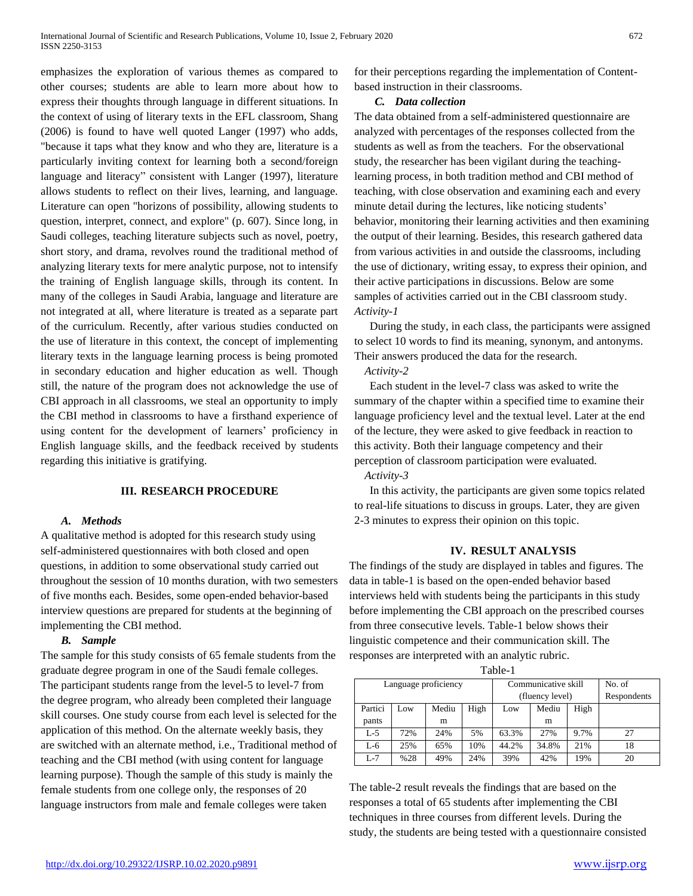emphasizes the exploration of various themes as compared to other courses; students are able to learn more about how to express their thoughts through language in different situations. In the context of using of literary texts in the EFL classroom, Shang (2006) is found to have well quoted Langer (1997) who adds, "because it taps what they know and who they are, literature is a particularly inviting context for learning both a second/foreign language and literacy" consistent with Langer (1997), literature allows students to reflect on their lives, learning, and language. Literature can open "horizons of possibility, allowing students to question, interpret, connect, and explore" (p. 607). Since long, in Saudi colleges, teaching literature subjects such as novel, poetry, short story, and drama, revolves round the traditional method of analyzing literary texts for mere analytic purpose, not to intensify the training of English language skills, through its content. In many of the colleges in Saudi Arabia, language and literature are not integrated at all, where literature is treated as a separate part of the curriculum. Recently, after various studies conducted on the use of literature in this context, the concept of implementing literary texts in the language learning process is being promoted in secondary education and higher education as well. Though still, the nature of the program does not acknowledge the use of CBI approach in all classrooms, we steal an opportunity to imply the CBI method in classrooms to have a firsthand experience of using content for the development of learners' proficiency in English language skills, and the feedback received by students regarding this initiative is gratifying.

#### **III. RESEARCH PROCEDURE**

## *A. Methods*

A qualitative method is adopted for this research study using self-administered questionnaires with both closed and open questions, in addition to some observational study carried out throughout the session of 10 months duration, with two semesters of five months each. Besides, some open-ended behavior-based interview questions are prepared for students at the beginning of implementing the CBI method.

#### *B. Sample*

The sample for this study consists of 65 female students from the graduate degree program in one of the Saudi female colleges. The participant students range from the level-5 to level-7 from the degree program, who already been completed their language skill courses. One study course from each level is selected for the application of this method. On the alternate weekly basis, they are switched with an alternate method, i.e., Traditional method of teaching and the CBI method (with using content for language learning purpose). Though the sample of this study is mainly the female students from one college only, the responses of 20 language instructors from male and female colleges were taken

for their perceptions regarding the implementation of Contentbased instruction in their classrooms.

## *C. Data collection*

The data obtained from a self-administered questionnaire are analyzed with percentages of the responses collected from the students as well as from the teachers. For the observational study, the researcher has been vigilant during the teachinglearning process, in both tradition method and CBI method of teaching, with close observation and examining each and every minute detail during the lectures, like noticing students' behavior, monitoring their learning activities and then examining the output of their learning. Besides, this research gathered data from various activities in and outside the classrooms, including the use of dictionary, writing essay, to express their opinion, and their active participations in discussions. Below are some samples of activities carried out in the CBI classroom study. *Activity-1*

During the study, in each class, the participants were assigned to select 10 words to find its meaning, synonym, and antonyms. Their answers produced the data for the research.

#### *Activity-2*

Each student in the level-7 class was asked to write the summary of the chapter within a specified time to examine their language proficiency level and the textual level. Later at the end of the lecture, they were asked to give feedback in reaction to this activity. Both their language competency and their perception of classroom participation were evaluated.

*Activity-3* 

In this activity, the participants are given some topics related to real-life situations to discuss in groups. Later, they are given 2-3 minutes to express their opinion on this topic.

#### **IV. RESULT ANALYSIS**

The findings of the study are displayed in tables and figures. The data in table-1 is based on the open-ended behavior based interviews held with students being the participants in this study before implementing the CBI approach on the prescribed courses from three consecutive levels. Table-1 below shows their linguistic competence and their communication skill. The responses are interpreted with an analytic rubric.

| Language proficiency |     |       |      | Communicative skill |       |      | No. of      |
|----------------------|-----|-------|------|---------------------|-------|------|-------------|
|                      |     |       |      | (fluency level)     |       |      | Respondents |
| Partici              | Low | Mediu | High | Low                 | Mediu | High |             |
| pants                |     | m     |      |                     | m     |      |             |
| $L-5$                | 72% | 24%   | 5%   | 63.3%               | 27%   | 9.7% | 27          |
| L-6                  | 25% | 65%   | 10%  | 44.2%               | 34.8% | 21%  | 18          |
| $L-7$                | %28 | 49%   | 24%  | 39%                 | 42%   | 19%  | 20          |

The table-2 result reveals the findings that are based on the responses a total of 65 students after implementing the CBI techniques in three courses from different levels. During the study, the students are being tested with a questionnaire consisted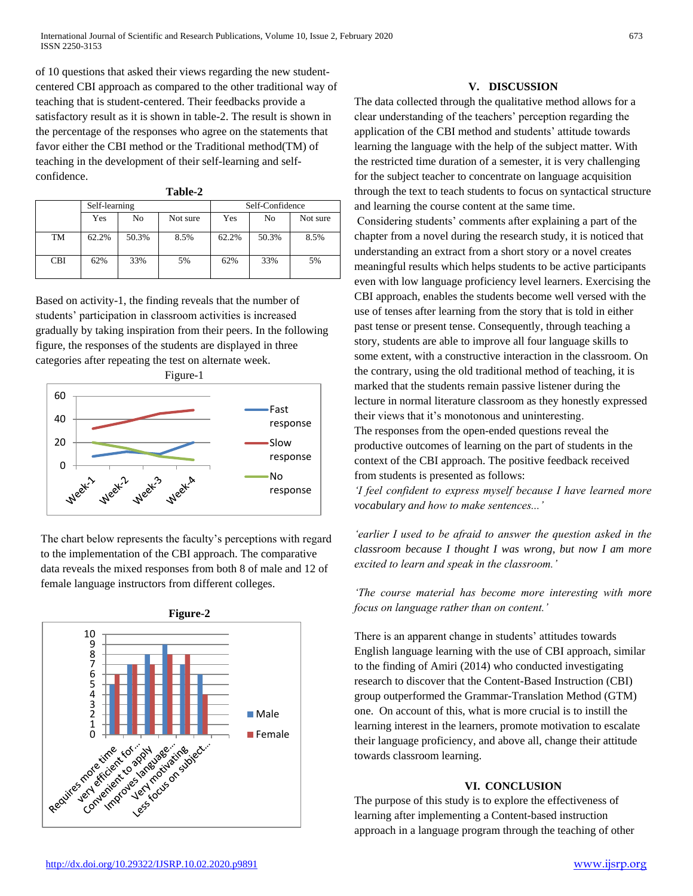of 10 questions that asked their views regarding the new studentcentered CBI approach as compared to the other traditional way of teaching that is student-centered. Their feedbacks provide a satisfactory result as it is shown in table-2. The result is shown in the percentage of the responses who agree on the statements that favor either the CBI method or the Traditional method(TM) of teaching in the development of their self-learning and selfconfidence.

|            | Self-learning |       |          | Self-Confidence |       |          |  |
|------------|---------------|-------|----------|-----------------|-------|----------|--|
|            | Yes           | No    | Not sure | Yes             | No    | Not sure |  |
| TM         | 62.2%         | 50.3% | 8.5%     | 62.2%           | 50.3% | 8.5%     |  |
| <b>CBI</b> | 62%           | 33%   | 5%       | 62%             | 33%   | 5%       |  |

Based on activity-1, the finding reveals that the number of students' participation in classroom activities is increased gradually by taking inspiration from their peers. In the following figure, the responses of the students are displayed in three categories after repeating the test on alternate week.



The chart below represents the faculty's perceptions with regard to the implementation of the CBI approach. The comparative data reveals the mixed responses from both 8 of male and 12 of female language instructors from different colleges.



# **V. DISCUSSION**

The data collected through the qualitative method allows for a clear understanding of the teachers' perception regarding the application of the CBI method and students' attitude towards learning the language with the help of the subject matter. With the restricted time duration of a semester, it is very challenging for the subject teacher to concentrate on language acquisition through the text to teach students to focus on syntactical structure and learning the course content at the same time.

Considering students' comments after explaining a part of the chapter from a novel during the research study, it is noticed that understanding an extract from a short story or a novel creates meaningful results which helps students to be active participants even with low language proficiency level learners. Exercising the CBI approach, enables the students become well versed with the use of tenses after learning from the story that is told in either past tense or present tense. Consequently, through teaching a story, students are able to improve all four language skills to some extent, with a constructive interaction in the classroom. On the contrary, using the old traditional method of teaching, it is marked that the students remain passive listener during the lecture in normal literature classroom as they honestly expressed their views that it's monotonous and uninteresting. The responses from the open-ended questions reveal the productive outcomes of learning on the part of students in the context of the CBI approach. The positive feedback received from students is presented as follows:

*'I feel confident to express myself because I have learned more vocabulary and how to make sentences...'* 

*'earlier I used to be afraid to answer the question asked in the classroom because I thought I was wrong, but now I am more excited to learn and speak in the classroom.'* 

*'The course material has become more interesting with more focus on language rather than on content.'*

There is an apparent change in students' attitudes towards English language learning with the use of CBI approach, similar to the finding of Amiri (2014) who conducted investigating research to discover that the Content-Based Instruction (CBI) group outperformed the Grammar-Translation Method (GTM) one. On account of this, what is more crucial is to instill the learning interest in the learners, promote motivation to escalate their language proficiency, and above all, change their attitude towards classroom learning.

# **VI. CONCLUSION**

The purpose of this study is to explore the effectiveness of learning after implementing a Content-based instruction approach in a language program through the teaching of other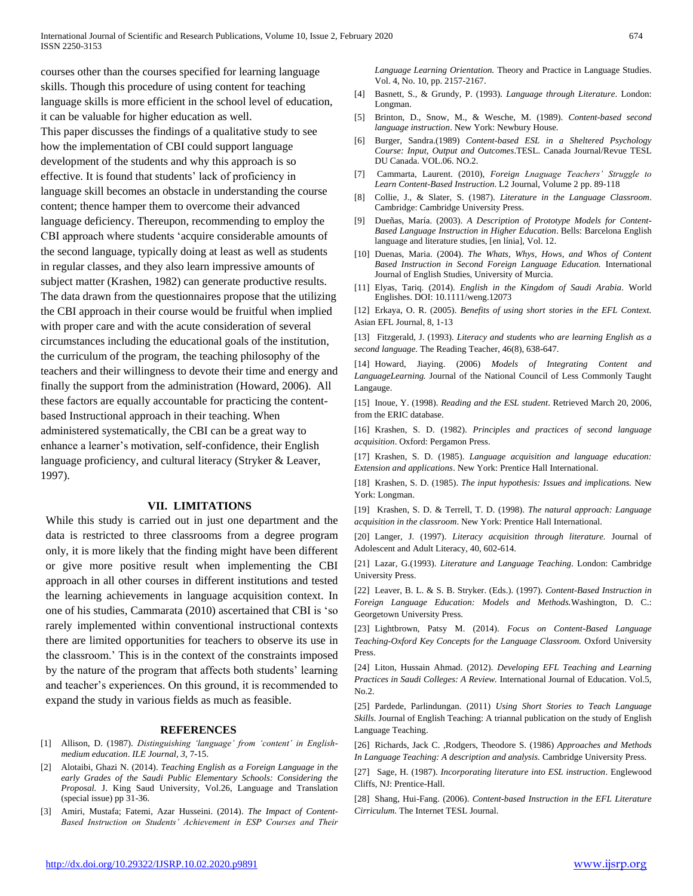courses other than the courses specified for learning language skills. Though this procedure of using content for teaching language skills is more efficient in the school level of education, it can be valuable for higher education as well.

This paper discusses the findings of a qualitative study to see how the implementation of CBI could support language development of the students and why this approach is so effective. It is found that students' lack of proficiency in language skill becomes an obstacle in understanding the course content; thence hamper them to overcome their advanced language deficiency. Thereupon, recommending to employ the CBI approach where students 'acquire considerable amounts of the second language, typically doing at least as well as students in regular classes, and they also learn impressive amounts of subject matter (Krashen, 1982) can generate productive results. The data drawn from the questionnaires propose that the utilizing the CBI approach in their course would be fruitful when implied with proper care and with the acute consideration of several circumstances including the educational goals of the institution, the curriculum of the program, the teaching philosophy of the teachers and their willingness to devote their time and energy and finally the support from the administration (Howard, 2006). All these factors are equally accountable for practicing the contentbased Instructional approach in their teaching. When administered systematically, the CBI can be a great way to enhance a learner's motivation, self-confidence, their English language proficiency, and cultural literacy (Stryker & Leaver, 1997).

#### **VII. LIMITATIONS**

While this study is carried out in just one department and the data is restricted to three classrooms from a degree program only, it is more likely that the finding might have been different or give more positive result when implementing the CBI approach in all other courses in different institutions and tested the learning achievements in language acquisition context. In one of his studies, Cammarata (2010) ascertained that CBI is 'so rarely implemented within conventional instructional contexts there are limited opportunities for teachers to observe its use in the classroom.' This is in the context of the constraints imposed by the nature of the program that affects both students' learning and teacher's experiences. On this ground, it is recommended to expand the study in various fields as much as feasible.

#### **REFERENCES**

- [1] Allison, D. (1987). *Distinguishing 'language' from 'content' in Englishmedium education*. *ILE Journal, 3,* 7-15.
- [2] Alotaibi, Ghazi N. (2014). *Teaching English as a Foreign Language in the early Grades of the Saudi Public Elementary Schools: Considering the Proposal.* J. King Saud University, Vol.26, Language and Translation (special issue) pp 31-36.
- [3] Amiri, Mustafa; Fatemi, Azar Husseini. (2014). *The Impact of Content-Based Instruction on Students' Achievement in ESP Courses and Their*

*Language Learning Orientation.* Theory and Practice in Language Studies. Vol. 4, No. 10, pp. 2157-2167.

- [4] Basnett, S., & Grundy, P. (1993). *Language through Literature*. London: Longman.
- [5] Brinton, D., Snow, M., & Wesche, M. (1989). *Content-based second language instruction*. New York: Newbury House.
- [6] Burger, Sandra.(1989) *Content-based ESL in a Sheltered Psychology Course: Input, Output and Outcomes*.TESL. Canada Journal/Revue TESL DU Canada. VOL.06. NO.2.
- [7] Cammarta, Laurent. (2010), *Foreign Lnaguage Teachers' Struggle to Learn Content-Based Instruction*. L2 Journal, Volume 2 pp. 89-118
- [8] Collie, J., & Slater, S. (1987). *Literature in the Language Classroom*. Cambridge: Cambridge University Press.
- [9] Dueñas, María. (2003). *A Description of Prototype Models for Content-Based Language Instruction in Higher Education*. Bells: Barcelona English language and literature studies, [en línia], Vol. 12.
- [10] Duenas, Maria. (2004). *The Whats, Whys, Hows, and Whos of Content Based Instruction in Second Foreign Language Education.* International Journal of English Studies, University of Murcia.
- [11] Elyas, Tariq. (2014). *English in the Kingdom of Saudi Arabia*. World Englishes. DOI: 10.1111/weng.12073

[12] Erkaya, O. R. (2005). *Benefits of using short stories in the EFL Context.* Asian EFL Journal, 8, 1-13

[13] Fitzgerald, J. (1993). *Literacy and students who are learning English as a second language.* The Reading Teacher, 46(8), 638-647.

[14] Howard, Jiaying. (2006) *Models of Integrating Content and LanguageLearning.* Journal of the National Council of Less Commonly Taught Langauge.

[15] Inoue, Y. (1998). *Reading and the ESL student*. Retrieved March 20, 2006, from the ERIC database.

[16] Krashen, S. D. (1982). *Principles and practices of second language acquisition*. Oxford: Pergamon Press.

[17] Krashen, S. D. (1985). *Language acquisition and language education: Extension and applications*. New York: Prentice Hall International.

[18] Krashen, S. D. (1985). *The input hypothesis: Issues and implications.* New York: Longman.

[19] Krashen, S. D. & Terrell, T. D. (1998). *The natural approach: Language acquisition in the classroom*. New York: Prentice Hall International.

[20] Langer, J. (1997). *Literacy acquisition through literature.* Journal of Adolescent and Adult Literacy, 40, 602-614.

[21] Lazar, G.(1993). *Literature and Language Teaching*. London: Cambridge University Press.

[22] Leaver, B. L. & S. B. Stryker. (Eds.). (1997). *Content-Based Instruction in Foreign Language Education: Models and Methods.*Washington, D. C.: Georgetown University Press.

[23] Lightbrown, Patsy M. (2014). *Focus on Content-Based Language Teaching-Oxford Key Concepts for the Language Classroom.* Oxford University Press.

[24] Liton, Hussain Ahmad. (2012). *Developing EFL Teaching and Learning Practices in Saudi Colleges: A Review.* International Journal of Education. Vol.5, No.2.

[25] Pardede, Parlindungan. (2011) *Using Short Stories to Teach Language Skills.* Journal of English Teaching: A triannal publication on the study of English Language Teaching.

[26] Richards, Jack C. ,Rodgers, Theodore S. (1986) *Approaches and Methods In Language Teaching: A description and analysis.* Cambridge University Press.

[27] Sage, H. (1987). *Incorporating literature into ESL instruction*. Englewood Cliffs, NJ: Prentice-Hall.

[28] Shang, Hui-Fang. (2006). *Content-based Instruction in the EFL Literature Cirriculum.* The Internet TESL Journal.